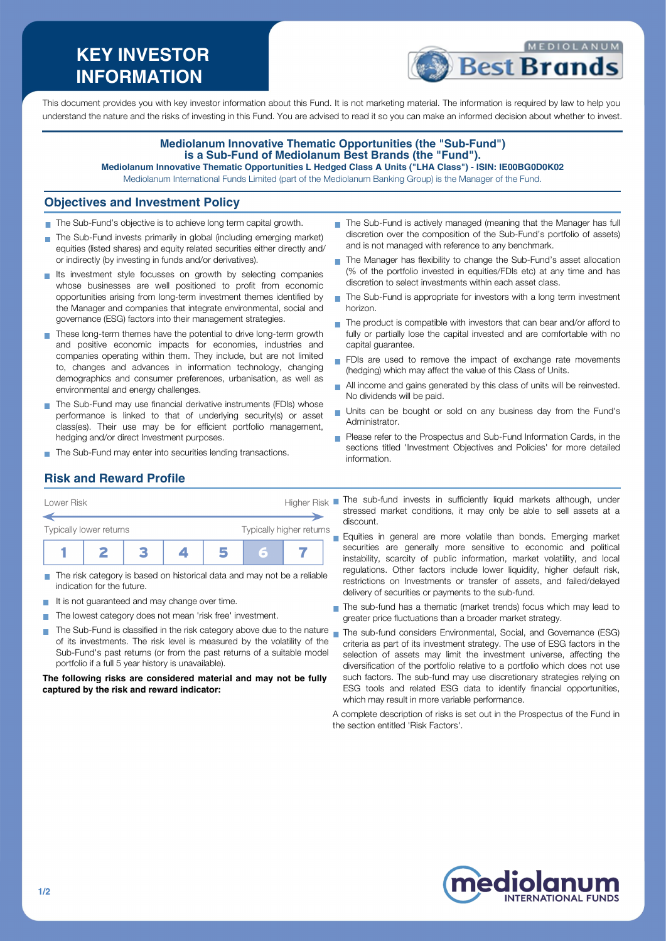# **KEY INVESTOR INFORMATION**



This document provides you with key investor information about this Fund. It is not marketing material. The information is required by law to help you understand the nature and the risks of investing in this Fund. You are advised to read it so you can make an informed decision about whether to invest.

#### **Mediolanum Innovative Thematic Opportunities (the "Sub-Fund") is a Sub-Fund of Mediolanum Best Brands (the "Fund"). Mediolanum Innovative Thematic Opportunities L Hedged Class A Units ("LHA Class") - ISIN: IE00BG0D0K02**

Mediolanum International Funds Limited (part of the Mediolanum Banking Group) is the Manager of the Fund.

#### **Objectives and Investment Policy**

- The Sub-Fund's objective is to achieve long term capital growth.
- The Sub-Fund invests primarily in global (including emerging market) equities (listed shares) and equity related securities either directly and/ or indirectly (by investing in funds and/or derivatives).
- Its investment style focusses on growth by selecting companies whose businesses are well positioned to profit from economic opportunities arising from long-term investment themes identified by the Manager and companies that integrate environmental, social and governance (ESG) factors into their management strategies.
- These long-term themes have the potential to drive long-term growth and positive economic impacts for economies, industries and companies operating within them. They include, but are not limited to, changes and advances in information technology, changing demographics and consumer preferences, urbanisation, as well as environmental and energy challenges.
- The Sub-Fund may use financial derivative instruments (FDIs) whose performance is linked to that of underlying security(s) or asset class(es). Their use may be for efficient portfolio management, hedging and/or direct Investment purposes.
- The Sub-Fund may enter into securities lending transactions.
- The Sub-Fund is actively managed (meaning that the Manager has full discretion over the composition of the Sub-Fund's portfolio of assets) and is not managed with reference to any benchmark.
- The Manager has flexibility to change the Sub-Fund's asset allocation (% of the portfolio invested in equities/FDIs etc) at any time and has discretion to select investments within each asset class.
- $\blacksquare$  The Sub-Fund is appropriate for investors with a long term investment horizon.
- $\blacksquare$  The product is compatible with investors that can bear and/or afford to fully or partially lose the capital invested and are comfortable with no capital guarantee.
- FDIs are used to remove the impact of exchange rate movements (hedging) which may affect the value of this Class of Units.
- All income and gains generated by this class of units will be reinvested. No dividends will be paid.
- Units can be bought or sold on any business day from the Fund's Administrator.
- **Please refer to the Prospectus and Sub-Fund Information Cards, in the** sections titled 'Investment Objectives and Policies' for more detailed information.

# **Risk and Reward Profile**

| Lower Risk              |  |  |    |                          | <b>Higher Risk</b> |  |
|-------------------------|--|--|----|--------------------------|--------------------|--|
| Typically lower returns |  |  |    | Typically higher returns |                    |  |
|                         |  |  | ı, | Б                        |                    |  |

- The risk category is based on historical data and may not be a reliable indication for the future.
- It is not guaranteed and may change over time.  $\mathcal{L}_{\mathcal{A}}$
- The lowest category does not mean 'risk free' investment. **COL**
- $\blacksquare$  The Sub-Fund is classified in the risk category above due to the nature  $\blacksquare$ of its investments. The risk level is measured by the volatility of the Sub-Fund's past returns (or from the past returns of a suitable model portfolio if a full 5 year history is unavailable).

#### **The following risks are considered material and may not be fully captured by the risk and reward indicator:**

- The sub-fund invests in sufficiently liquid markets although, under stressed market conditions, it may only be able to sell assets at a discount.
- **Equities in general are more volatile than bonds. Emerging market** securities are generally more sensitive to economic and political instability, scarcity of public information, market volatility, and local regulations. Other factors include lower liquidity, higher default risk, restrictions on Investments or transfer of assets, and failed/delayed delivery of securities or payments to the sub-fund.
- The sub-fund has a thematic (market trends) focus which may lead to greater price fluctuations than a broader market strategy.
- The sub-fund considers Environmental, Social, and Governance (ESG) criteria as part of its investment strategy. The use of ESG factors in the selection of assets may limit the investment universe, affecting the diversification of the portfolio relative to a portfolio which does not use such factors. The sub-fund may use discretionary strategies relying on ESG tools and related ESG data to identify financial opportunities, which may result in more variable performance.
- A complete description of risks is set out in the Prospectus of the Fund in the section entitled 'Risk Factors'.